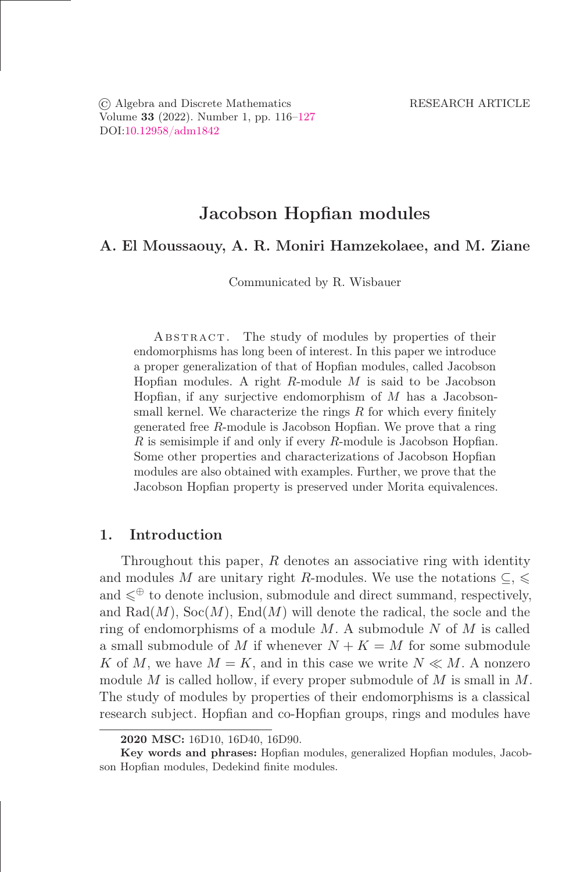© Algebra and Discrete Mathematics RESEARCH ARTICLE Volume 33 (2022). Number 1, pp. 116–127 DOI[:10.12958/adm1842](https://doi.org/10.12958/adm1842)

# Jacobson Hopfian modules

# A. El Moussaouy, A. R. Moniri Hamzekolaee, and M. Ziane

Communicated by R. Wisbauer

ABSTRACT. The study of modules by properties of their endomorphisms has long been of interest. In this paper we introduce a proper generalization of that of Hopőan modules, called Jacobson Hopfian modules. A right  $R$ -module  $M$  is said to be Jacobson Hopfian, if any surjective endomorphism of  $M$  has a Jacobsonsmall kernel. We characterize the rings  $R$  for which every finitely generated free  $R$ -module is Jacobson Hopfian. We prove that a ring  $R$  is semisimple if and only if every  $R$ -module is Jacobson Hopfian. Some other properties and characterizations of Jacobson Hopfian modules are also obtained with examples. Further, we prove that the Jacobson Hopfian property is preserved under Morita equivalences.

## 1. Introduction

Throughout this paper, R denotes an associative ring with identity and modules M are unitary right R-modules. We use the notations  $\subseteq$ ,  $\leq$ and  $\leq^{\oplus}$  to denote inclusion, submodule and direct summand, respectively, and  $\text{Rad}(M)$ ,  $\text{Soc}(M)$ ,  $\text{End}(M)$  will denote the radical, the socle and the ring of endomorphisms of a module  $M$ . A submodule  $N$  of  $M$  is called a small submodule of M if whenever  $N + K = M$  for some submodule K of M, we have  $M = K$ , and in this case we write  $N \ll M$ . A nonzero module  $M$  is called hollow, if every proper submodule of  $M$  is small in  $M$ . The study of modules by properties of their endomorphisms is a classical research subject. Hopőan and co-Hopőan groups, rings and modules have

<sup>2020</sup> MSC: 16D10, 16D40, 16D90.

Key words and phrases: Hopőan modules, generalized Hopőan modules, Jacobson Hopfian modules, Dedekind finite modules.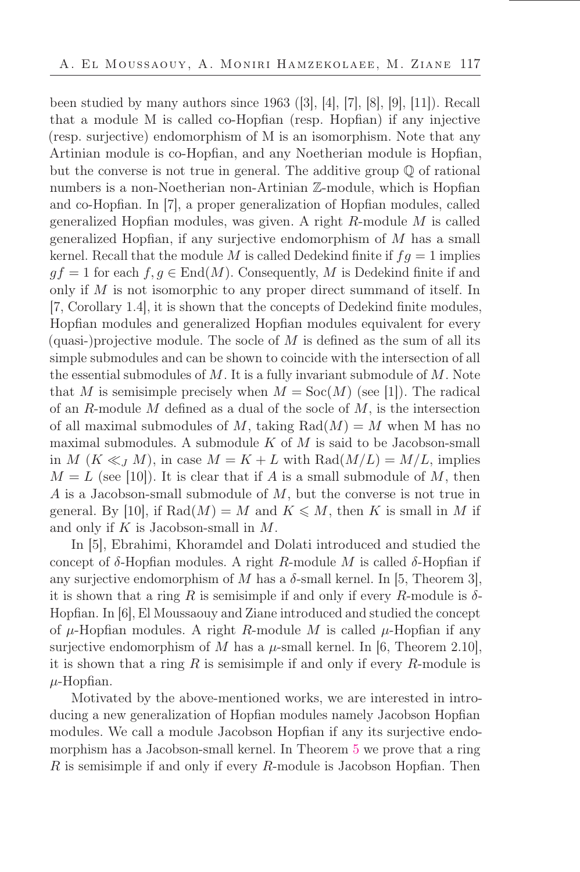been studied by many authors since 1963 ([3], [4], [7], [8], [9], [11]). Recall that a module M is called co-Hopfian (resp. Hopfian) if any injective (resp. surjective) endomorphism of M is an isomorphism. Note that any Artinian module is co-Hopfian, and any Noetherian module is Hopfian, but the converse is not true in general. The additive group Q of rational numbers is a non-Noetherian non-Artinian Z-module, which is Hopfian and co-Hopőan. In [7], a proper generalization of Hopőan modules, called generalized Hopfian modules, was given. A right  $R$ -module  $M$  is called generalized Hopfian, if any surjective endomorphism of  $M$  has a small kernel. Recall that the module M is called Dedekind finite if  $fg = 1$  implies  $gf = 1$  for each  $f, g \in End(M)$ . Consequently, M is Dedekind finite if and only if  $M$  is not isomorphic to any proper direct summand of itself. In [7, Corollary 1.4], it is shown that the concepts of Dedekind finite modules, Hopfian modules and generalized Hopfian modules equivalent for every (quasi-)projective module. The socle of  $M$  is defined as the sum of all its simple submodules and can be shown to coincide with the intersection of all the essential submodules of  $M$ . It is a fully invariant submodule of  $M$ . Note that M is semisimple precisely when  $M = \text{Soc}(M)$  (see [1]). The radical of an R-module M defined as a dual of the socle of  $M$ , is the intersection of all maximal submodules of M, taking  $Rad(M) = M$  when M has no maximal submodules. A submodule  $K$  of  $M$  is said to be Jacobson-small in M  $(K \ll J M)$ , in case  $M = K + L$  with  $\text{Rad}(M/L) = M/L$ , implies  $M = L$  (see [10]). It is clear that if A is a small submodule of M, then A is a Jacobson-small submodule of M, but the converse is not true in general. By [10], if  $Rad(M) = M$  and  $K \leq M$ , then K is small in M if and only if  $K$  is Jacobson-small in  $M$ .

In [5], Ebrahimi, Khoramdel and Dolati introduced and studied the concept of  $\delta$ -Hopfian modules. A right R-module M is called  $\delta$ -Hopfian if any surjective endomorphism of M has a  $\delta$ -small kernel. In [5, Theorem 3], it is shown that a ring R is semisimple if and only if every R-module is  $\delta$ -Hopfian. In [6], El Moussaouy and Ziane introduced and studied the concept of  $\mu$ -Hopfian modules. A right R-module M is called  $\mu$ -Hopfian if any surjective endomorphism of M has a  $\mu$ -small kernel. In [6, Theorem 2.10], it is shown that a ring  $R$  is semisimple if and only if every  $R$ -module is  $\mu$ -Hopfian.

Motivated by the above-mentioned works, we are interested in introducing a new generalization of Hopfian modules namely Jacobson Hopfian modules. We call a module Jacobson Hopfian if any its surjective endomorphism has a Jacobson-small kernel. In Theorem [5](#page-6-0) we prove that a ring  $R$  is semisimple if and only if every  $R$ -module is Jacobson Hopfian. Then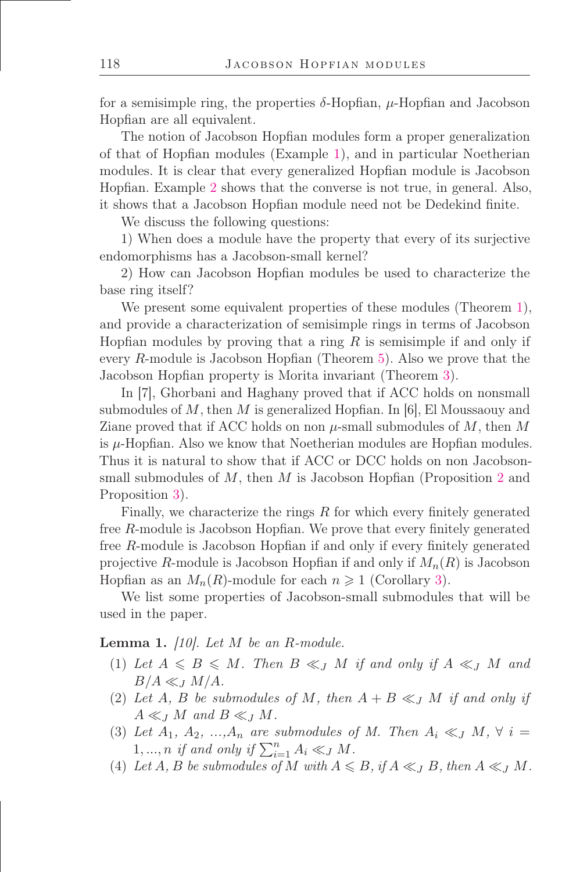for a semisimple ring, the properties  $\delta$ -Hopfian,  $\mu$ -Hopfian and Jacobson Hopfian are all equivalent.

The notion of Jacobson Hopfian modules form a proper generalization of that of Hopőan modules (Example [1\)](#page-4-0), and in particular Noetherian modules. It is clear that every generalized Hopfian module is Jacobson Hopőan. Example [2](#page-6-1) shows that the converse is not true, in general. Also, it shows that a Jacobson Hopfian module need not be Dedekind finite.

We discuss the following questions:

1) When does a module have the property that every of its surjective endomorphisms has a Jacobson-small kernel?

2) How can Jacobson Hopfian modules be used to characterize the base ring itself?

We present some equivalent properties of these modules (Theorem [1\)](#page-3-0), and provide a characterization of semisimple rings in terms of Jacobson Hopfian modules by proving that a ring  $R$  is semisimple if and only if every  $R$ -module is Jacobson Hopfian (Theorem [5\)](#page-6-0). Also we prove that the Jacobson Hopőan property is Morita invariant (Theorem [3\)](#page-5-0).

In [7], Ghorbani and Haghany proved that if ACC holds on nonsmall submodules of  $M$ , then  $M$  is generalized Hopfian. In [6], El Moussaouy and Ziane proved that if ACC holds on non  $\mu$ -small submodules of M, then M is  $\mu$ -Hopfian. Also we know that Noetherian modules are Hopfian modules. Thus it is natural to show that if ACC or DCC holds on non Jacobsonsmall submodules of  $M$ , then  $M$  is Jacobson Hopfian (Proposition [2](#page-7-0) and Proposition [3\)](#page-7-1).

Finally, we characterize the rings  $R$  for which every finitely generated free R-module is Jacobson Hopőan. We prove that every őnitely generated free  $R$ -module is Jacobson Hopfian if and only if every finitely generated projective R-module is Jacobson Hopfian if and only if  $M_n(R)$  is Jacobson Hopfian as an  $M_n(R)$ -module for each  $n \geq 1$  (Corollary [3\)](#page-10-0).

We list some properties of Jacobson-small submodules that will be used in the paper.

<span id="page-2-0"></span>Lemma 1. *[10]. Let* M *be an* R*-module.*

- (1) Let  $A \leq B \leq M$ . Then  $B \ll_J M$  if and only if  $A \ll_J M$  and  $B/A \ll_J M/A$ .
- (2) Let A, B be submodules of M, then  $A + B \ll J$  M if and only if  $A \ll_J M$  and  $B \ll_J M$ .
- (3) Let  $A_1, A_2, ..., A_n$  are submodules of M. Then  $A_i \ll J M$ ,  $\forall i =$ 1, ..., *n* if and only if  $\sum_{i=1}^{n} A_i \ll_J M$ .
- (4) Let  $A, B$  be submodules of  $M$  with  $A \leq B$ , if  $A \leq J$ ,  $B$ , then  $A \leq J$   $M$ .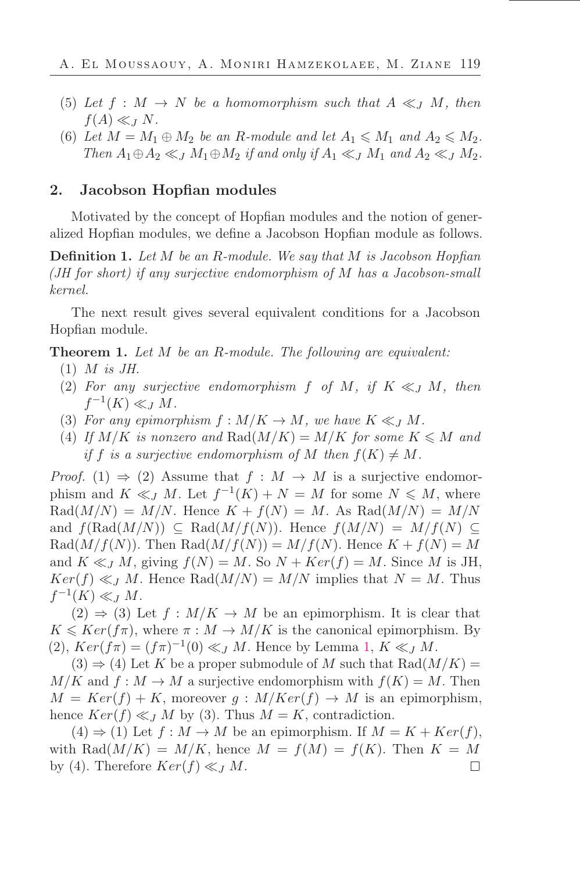- (5) Let  $f : M \to N$  be a homomorphism such that  $A \ll_J M$ , then  $f(A) \ll_J N$ .
- (6) Let  $M = M_1 \oplus M_2$  be an R-module and let  $A_1 \leqslant M_1$  and  $A_2 \leqslant M_2$ . *Then*  $A_1 \oplus A_2 \ll_J M_1 \oplus M_2$  *if and only if*  $A_1 \ll_J M_1$  *and*  $A_2 \ll_J M_2$ *.*

## 2. Jacobson Hopfian modules

Motivated by the concept of Hopőan modules and the notion of generalized Hopfian modules, we define a Jacobson Hopfian module as follows.

Deőnition 1. *Let* M *be an* R*-module. We say that* M *is Jacobson Hopőan (JH for short) if any surjective endomorphism of* M *has a Jacobson-small kernel.*

The next result gives several equivalent conditions for a Jacobson Hopfian module.

<span id="page-3-0"></span>Theorem 1. *Let* M *be an* R*-module. The following are equivalent:*

- (1) M *is JH.*
- (2) For any surjective endomorphism f of M, if  $K \ll J M$ , then  $f^{-1}(K) \ll_J M$ .
- (3) For any epimorphism  $f : M/K \to M$ , we have  $K \ll I M$ .
- (4) If  $M/K$  is nonzero and  $\text{Rad}(M/K) = M/K$  for some  $K \leq M$  and *if* f *is a surjective endomorphism of* M *then*  $f(K) \neq M$ .

*Proof.* (1)  $\Rightarrow$  (2) Assume that  $f : M \to M$  is a surjective endomorphism and  $K \ll_J M$ . Let  $f^{-1}(K) + N = M$  for some  $N \leq M$ , where  $\text{Rad}(M/N) = M/N$ . Hence  $K + f(N) = M$ . As  $\text{Rad}(M/N) = M/N$ and  $f(\text{Rad}(M/N)) \subseteq \text{Rad}(M/f(N))$ . Hence  $f(M/N) = M/f(N) \subseteq$  $\text{Rad}(M/f(N))$ . Then  $\text{Rad}(M/f(N)) = M/f(N)$ . Hence  $K + f(N) = M$ and  $K \ll_l M$ , giving  $f(N) = M$ . So  $N + Ker(f) = M$ . Since M is JH,  $Ker(f) \ll J M$ . Hence Rad $(M/N) = M/N$  implies that  $N = M$ . Thus  $f^{-1}(K) \ll_J M$ .

 $(2) \Rightarrow (3)$  Let  $f : M/K \to M$  be an epimorphism. It is clear that  $K \leqslant Ker(f\pi)$ , where  $\pi : M \to M/K$  is the canonical epimorphism. By (2),  $Ker(f\pi) = (f\pi)^{-1}(0) \ll_J M$ . Hence by Lemma [1,](#page-2-0)  $K \ll_J M$ .

 $(3) \Rightarrow (4)$  Let K be a proper submodule of M such that Rad $(M/K)$  =  $M/K$  and  $f: M \to M$  a surjective endomorphism with  $f(K) = M$ . Then  $M = Ker(f) + K$ , moreover  $g: M/Ker(f) \to M$  is an epimorphism, hence  $Ker(f) \ll J M$  by (3). Thus  $M = K$ , contradiction.

 $(4) \Rightarrow (1)$  Let  $f : M \rightarrow M$  be an epimorphism. If  $M = K + Ker(f)$ , with Rad $(M/K) = M/K$ , hence  $M = f(M) = f(K)$ . Then  $K = M$ by (4). Therefore  $Ker(f) \ll_{J} M$ .  $\Box$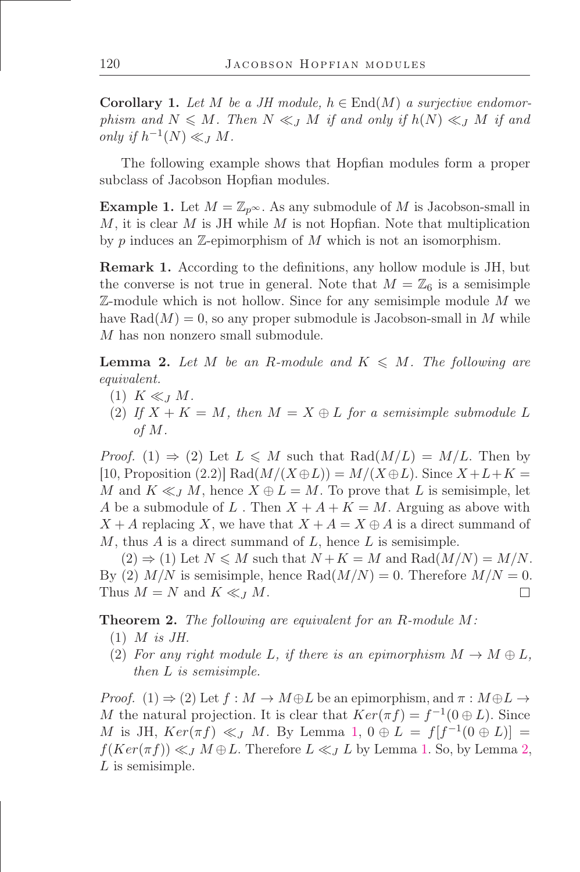**Corollary 1.** Let M be a JH module,  $h \in End(M)$  a surjective endomor*phism and*  $N \leq M$ *. Then*  $N \leq J$  *M if and only if*  $h(N) \leq J$  *M if and only if*  $h^{-1}(N) \ll_J M$ .

The following example shows that Hopfian modules form a proper subclass of Jacobson Hopfian modules.

<span id="page-4-0"></span>**Example 1.** Let  $M = \mathbb{Z}_{p^{\infty}}$ . As any submodule of M is Jacobson-small in  $M$ , it is clear  $M$  is JH while  $M$  is not Hopfian. Note that multiplication by p induces an  $\mathbb{Z}$ -epimorphism of M which is not an isomorphism.

**Remark 1.** According to the definitions, any hollow module is JH, but the converse is not true in general. Note that  $M = \mathbb{Z}_6$  is a semisimple  $\mathbb{Z}\text{-module which is not hollow. Since for any semisimple module }M$  we have  $\text{Rad}(M) = 0$ , so any proper submodule is Jacobson-small in M while M has non nonzero small submodule.

<span id="page-4-1"></span>**Lemma 2.** Let M be an R-module and  $K \leq M$ . The following are *equivalent.*

- $(1)$  K  $\ll_I M$ .
- (2) If  $X + K = M$ , then  $M = X \oplus L$  for a semisimple submodule L *of* M*.*

*Proof.* (1)  $\Rightarrow$  (2) Let  $L \leq M$  such that Rad( $M/L$ ) =  $M/L$ . Then by [10, Proposition (2.2)] Rad $(M/(X \oplus L)) = M/(X \oplus L)$ . Since  $X + L + K =$ M and  $K \ll_l M$ , hence  $X \oplus L = M$ . To prove that L is semisimple, let A be a submodule of L. Then  $X + A + K = M$ . Arguing as above with  $X + A$  replacing X, we have that  $X + A = X \oplus A$  is a direct summand of  $M$ , thus  $A$  is a direct summand of  $L$ , hence  $L$  is semisimple.

 $(2) \Rightarrow (1)$  Let  $N \leq M$  such that  $N + K = M$  and  $\text{Rad}(M/N) = M/N$ . By (2)  $M/N$  is semisimple, hence  $\text{Rad}(M/N) = 0$ . Therefore  $M/N = 0$ . Thus  $M = N$  and  $K \ll_l M$ .  $\Box$ 

<span id="page-4-2"></span>Theorem 2. *The following are equivalent for an* R*-module* M*:*

- (1) M *is JH.*
- (2) For any right module L, if there is an epimorphism  $M \to M \oplus L$ , *then* L *is semisimple.*

*Proof.* (1)  $\Rightarrow$  (2) Let  $f : M \rightarrow M \oplus L$  be an epimorphism, and  $\pi : M \oplus L \rightarrow$ M the natural projection. It is clear that  $Ker(\pi f) = f^{-1}(0 \oplus L)$ . Since M is JH,  $Ker(\pi f) \ll_J M$ . By Lemma [1,](#page-2-0)  $0 \oplus L = f[f^{-1}(0 \oplus L)] =$  $f(Ker(\pi f)) \ll_I M \oplus L$ . Therefore  $L \ll_I L$  by Lemma [1.](#page-2-0) So, by Lemma [2,](#page-4-1)  $L$  is semisimple.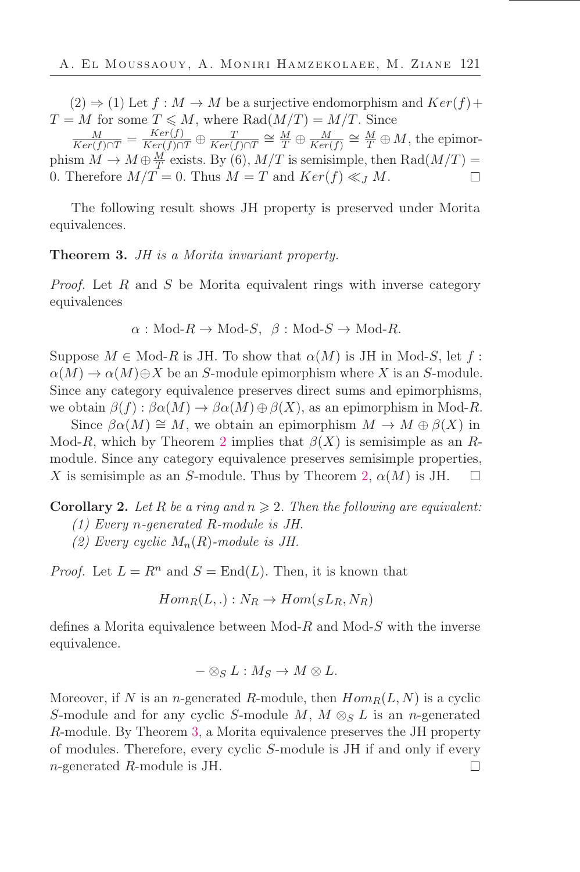$(2) \Rightarrow (1)$  Let  $f : M \rightarrow M$  be a surjective endomorphism and  $Ker(f)$  +  $T = M$  for some  $T \leq M$ , where Rad $(M/T) = M/T$ . Since

 $\frac{M}{Ker(f)\cap T} = \frac{Ker(f)}{Ker(f)\cap T} \oplus \frac{T}{Ker(f)\cap T} \cong \frac{M}{T} \oplus \frac{M}{Ker}$  $\frac{M}{Ker(f)} \cong \frac{M}{T} \oplus M$ , the epimorphism  $M \to M \oplus \frac{M}{T}$  $\frac{M}{T}$  exists. By (6),  $M/T$  is semisimple, then  $\text{Rad}(M/T) =$ 0. Therefore  $M/T = 0$ . Thus  $M = T$  and  $Ker(f) \ll J M$ .  $\Box$ 

The following result shows JH property is preserved under Morita equivalences.

<span id="page-5-0"></span>Theorem 3. *JH is a Morita invariant property.*

*Proof.* Let R and S be Morita equivalent rings with inverse category equivalences

$$
\alpha
$$
: Mod- $R \to \text{Mod-}S$ ,  $\beta$ : Mod- $S \to \text{Mod-}R$ .

Suppose  $M \in Mod-R$  is JH. To show that  $\alpha(M)$  is JH in Mod-S, let f:  $\alpha(M) \to \alpha(M) \oplus X$  be an S-module epimorphism where X is an S-module. Since any category equivalence preserves direct sums and epimorphisms, we obtain  $\beta(f) : \beta \alpha(M) \to \beta \alpha(M) \oplus \beta(X)$ , as an epimorphism in Mod-R.

Since  $\beta \alpha(M) \cong M$ , we obtain an epimorphism  $M \to M \oplus \beta(X)$  in Mod-R, which by Theorem [2](#page-4-2) implies that  $\beta(X)$  is semisimple as an Rmodule. Since any category equivalence preserves semisimple properties, X is semisimple as an S-module. Thus by Theorem [2,](#page-4-2)  $\alpha(M)$  is JH.

<span id="page-5-1"></span>**Corollary 2.** Let R be a ring and  $n \geq 2$ . Then the following are equivalent:

- *(1) Every* n*-generated* R*-module is JH.*
- *(2) Every cyclic* Mn(R)*-module is JH.*

*Proof.* Let  $L = R^n$  and  $S = \text{End}(L)$ . Then, it is known that

$$
Hom_R(L, .): N_R \to Hom({}_SL_R, N_R)
$$

defines a Morita equivalence between  $Mod-R$  and  $Mod-S$  with the inverse equivalence.

$$
-\otimes_S L: M_S\to M\otimes L.
$$

Moreover, if N is an n-generated R-module, then  $Hom_R(L, N)$  is a cyclic S-module and for any cyclic S-module M,  $M \otimes_S L$  is an n-generated R-module. By Theorem [3,](#page-5-0) a Morita equivalence preserves the JH property of modules. Therefore, every cyclic S-module is JH if and only if every n-generated R-module is JH. $\Box$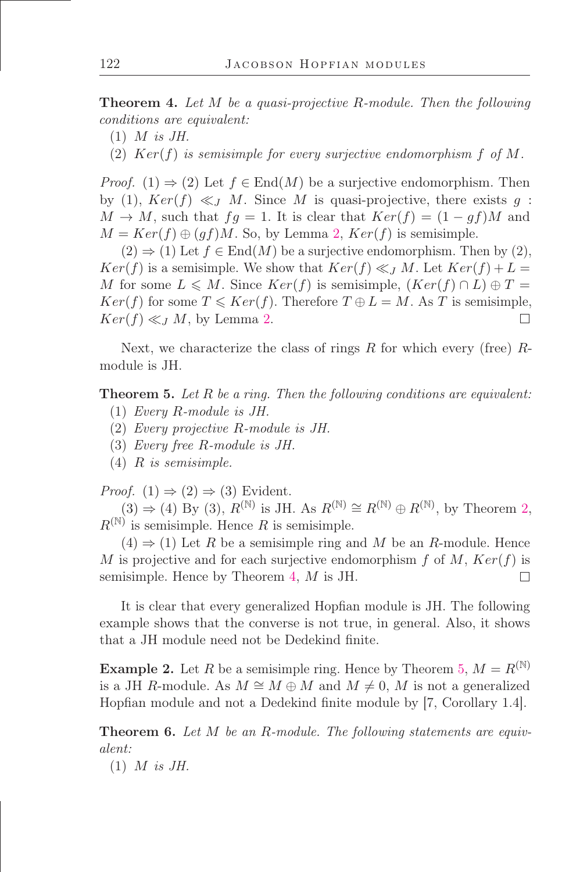<span id="page-6-2"></span>Theorem 4. *Let* M *be a quasi-projective* R*-module. Then the following conditions are equivalent:*

- (1) M *is JH.*
- (2) Ker(f) *is semisimple for every surjective endomorphism* f *of* M*.*

*Proof.* (1)  $\Rightarrow$  (2) Let  $f \in End(M)$  be a surjective endomorphism. Then by (1),  $Ker(f) \ll J M$ . Since M is quasi-projective, there exists g:  $M \to M$ , such that  $fg = 1$ . It is clear that  $Ker(f) = (1 - gf)M$  and  $M = Ker(f) \oplus (gf)M$ . So, by Lemma [2,](#page-4-1)  $Ker(f)$  is semisimple.

 $(2) \Rightarrow (1)$  Let  $f \in End(M)$  be a surjective endomorphism. Then by  $(2)$ ,  $Ker(f)$  is a semisimple. We show that  $Ker(f) \ll J M$ . Let  $Ker(f) + L =$ M for some  $L \leqslant M$ . Since  $Ker(f)$  is semisimple,  $(Ker(f) \cap L) \oplus T =$  $Ker(f)$  for some  $T \leqslant Ker(f)$ . Therefore  $T \oplus L = M$ . As T is semisimple,  $Ker(f) \ll J M$ , by Lemma [2.](#page-4-1)  $\Box$ 

Next, we characterize the class of rings  $R$  for which every (free)  $R$ module is JH.

<span id="page-6-0"></span>Theorem 5. *Let* R *be a ring. Then the following conditions are equivalent:*

- (1) *Every* R*-module is JH.*
- (2) *Every projective* R*-module is JH.*
- (3) *Every free* R*-module is JH.*
- (4) R *is semisimple.*

*Proof.*  $(1) \Rightarrow (2) \Rightarrow (3)$  Evident.

 $(3) \Rightarrow (4)$  By  $(3)$ ,  $R^{(\mathbb{N})}$  is JH. As  $R^{(\mathbb{N})} \cong R^{(\mathbb{N})} \oplus R^{(\mathbb{N})}$ , by Theorem [2,](#page-4-2)  $R^{(\mathbb{N})}$  is semisimple. Hence R is semisimple.

 $(4) \Rightarrow (1)$  Let R be a semisimple ring and M be an R-module. Hence M is projective and for each surjective endomorphism f of M,  $Ker(f)$  is semisimple. Hence by Theorem [4,](#page-6-2) M is JH.  $\Box$ 

It is clear that every generalized Hopőan module is JH. The following example shows that the converse is not true, in general. Also, it shows that a JH module need not be Dedekind őnite.

<span id="page-6-1"></span>**Example 2.** Let R be a semisimple ring. Hence by Theorem [5,](#page-6-0)  $M = R^{(\mathbb{N})}$ is a JH R-module. As  $M \cong M \oplus M$  and  $M \neq 0$ , M is not a generalized Hopfian module and not a Dedekind finite module by [7, Corollary 1.4].

Theorem 6. *Let* M *be an* R*-module. The following statements are equivalent:*

(1) M *is JH.*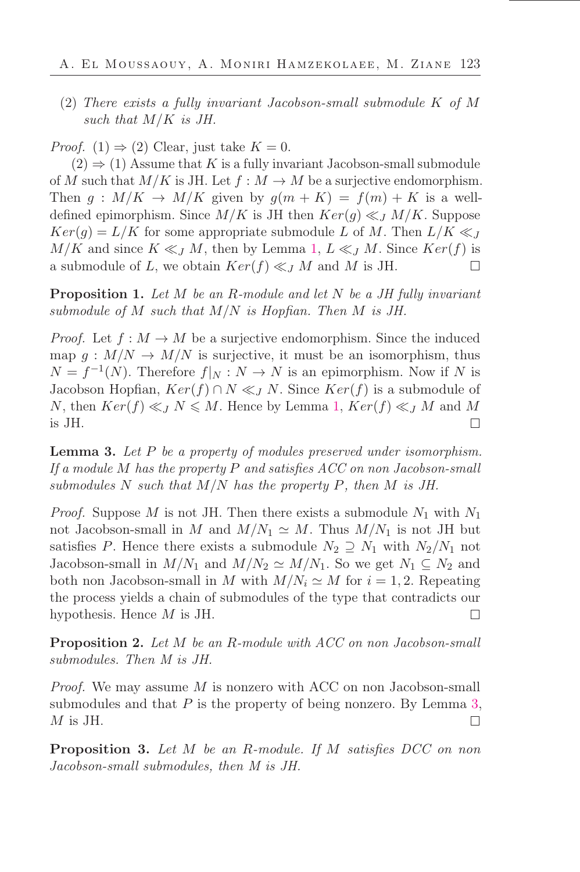(2) *There exists a fully invariant Jacobson-small submodule* K *of* M *such that* M/K *is JH.*

*Proof.* (1)  $\Rightarrow$  (2) Clear, just take  $K = 0$ .

 $(2) \Rightarrow (1)$  Assume that K is a fully invariant Jacobson-small submodule of M such that  $M/K$  is JH. Let  $f : M \to M$  be a surjective endomorphism. Then  $g : M/K \to M/K$  given by  $g(m+K) = f(m) + K$  is a welldefined epimorphism. Since  $M/K$  is JH then  $Ker(g) \ll_{J} M/K$ . Suppose  $Ker(g) = L/K$  for some appropriate submodule L of M. Then  $L/K \ll J$  $M/K$  and since  $K \ll J M$ , then by Lemma [1,](#page-2-0)  $L \ll J M$ . Since  $Ker(f)$  is a submodule of L, we obtain  $Ker(f) \ll J M$  and M is JH.  $\Box$ 

Proposition 1. *Let* M *be an* R*-module and let* N *be a JH fully invariant submodule of* M *such that* M/N *is Hopőan. Then* M *is JH.*

*Proof.* Let  $f : M \to M$  be a surjective endomorphism. Since the induced map  $g: M/N \to M/N$  is surjective, it must be an isomorphism, thus  $N = f^{-1}(N)$ . Therefore  $f|_N : N \to N$  is an epimorphism. Now if N is Jacobson Hopfian,  $Ker(f) \cap N \ll_l N$ . Since  $Ker(f)$  is a submodule of N, then  $Ker(f) \ll_l N \leq M$ . Hence by Lemma [1,](#page-2-0)  $Ker(f) \ll_l M$  and M is JH.  $\Box$ 

<span id="page-7-2"></span>Lemma 3. *Let* P *be a property of modules preserved under isomorphism. If a module* M *has the property* P *and satisőes ACC on non Jacobson-small submodules* N *such that* M/N *has the property* P*, then* M *is JH.*

*Proof.* Suppose M is not JH. Then there exists a submodule  $N_1$  with  $N_1$ not Jacobson-small in M and  $M/N_1 \simeq M$ . Thus  $M/N_1$  is not JH but satisfies P. Hence there exists a submodule  $N_2 \supseteq N_1$  with  $N_2/N_1$  not Jacobson-small in  $M/N_1$  and  $M/N_2 \simeq M/N_1$ . So we get  $N_1 \subseteq N_2$  and both non Jacobson-small in M with  $M/N_i \simeq M$  for  $i = 1, 2$ . Repeating the process yields a chain of submodules of the type that contradicts our hypothesis. Hence  $M$  is JH.  $\Box$ 

<span id="page-7-0"></span>Proposition 2. *Let* M *be an* R*-module with ACC on non Jacobson-small submodules. Then M is JH.*

*Proof.* We may assume M is nonzero with ACC on non Jacobson-small submodules and that  $P$  is the property of being nonzero. By Lemma [3,](#page-7-2)  $M$  is JH.  $\Box$ 

<span id="page-7-1"></span>Proposition 3. *Let* M *be an* R*-module. If* M *satisőes DCC on non Jacobson-small submodules, then M is JH.*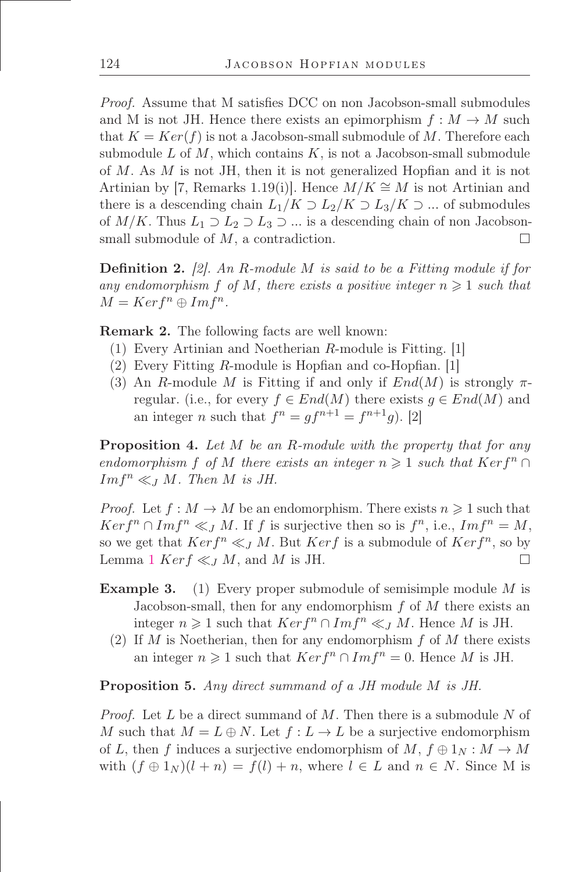*Proof.* Assume that M satisfies DCC on non Jacobson-small submodules and M is not JH. Hence there exists an epimorphism  $f : M \to M$  such that  $K = Ker(f)$  is not a Jacobson-small submodule of M. Therefore each submodule  $L$  of  $M$ , which contains  $K$ , is not a Jacobson-small submodule of  $M$ . As  $M$  is not JH, then it is not generalized Hopfian and it is not Artinian by [7, Remarks 1.19(i)]. Hence  $M/K \cong M$  is not Artinian and there is a descending chain  $L_1/K \supset L_2/K \supset L_3/K \supset ...$  of submodules of  $M/K$ . Thus  $L_1 \supset L_2 \supset L_3 \supset \ldots$  is a descending chain of non Jacobsonsmall submodule of  $M$ , a contradiction.  $\Box$ 

Deőnition 2. *[2]. An* R*-module* M *is said to be a Fitting module if for* any endomorphism f of M, there exists a positive integer  $n \geq 1$  such that  $M = Ker f^n \oplus Im f^n$ .

Remark 2. The following facts are well known:

- (1) Every Artinian and Noetherian R-module is Fitting. [1]
- $(2)$  Every Fitting R-module is Hopfian and co-Hopfian. [1]
- (3) An R-module M is Fitting if and only if  $End(M)$  is strongly  $\pi$ regular. (i.e., for every  $f \in End(M)$  there exists  $g \in End(M)$  and an integer *n* such that  $f^n = gf^{n+1} = f^{n+1}g$ . [2]

Proposition 4. *Let* M *be an* R*-module with the property that for any endomorphism* f *of* M *there exists an integer*  $n \geq 1$  *such that* Kerf<sup>n</sup> ∩  $Im f^n \ll_J M$ . Then M is JH.

*Proof.* Let  $f : M \to M$  be an endomorphism. There exists  $n \geq 1$  such that  $Ker f^{n} \cap Im f^{n} \ll_{J} M$ . If f is surjective then so is  $f^{n}$ , i.e.,  $Im f^{n} = M$ , so we get that  $Ker f^{n} \ll J M$ . But  $Ker f$  is a submodule of  $Ker f^{n}$ , so by Lemma [1](#page-2-0)  $Ker f \ll_J M$ , and M is JH.  $\Box$ 

- Example 3. (1) Every proper submodule of semisimple module M is Jacobson-small, then for any endomorphism  $f$  of  $M$  there exists an integer  $n \geq 1$  such that  $Ker f^{n} \cap Im f^{n} \ll I M$ . Hence M is JH.
	- (2) If M is Noetherian, then for any endomorphism  $f$  of M there exists an integer  $n \geq 1$  such that  $Ker f^{n} \cap Im f^{n} = 0$ . Hence M is JH.

<span id="page-8-0"></span>Proposition 5. *Any direct summand of a JH module* M *is JH.*

*Proof.* Let L be a direct summand of M. Then there is a submodule N of M such that  $M = L \oplus N$ . Let  $f: L \to L$  be a surjective endomorphism of L, then f induces a surjective endomorphism of  $M, f \oplus 1_N : M \to M$ with  $(f \oplus 1_N)(l + n) = f(l) + n$ , where  $l \in L$  and  $n \in N$ . Since M is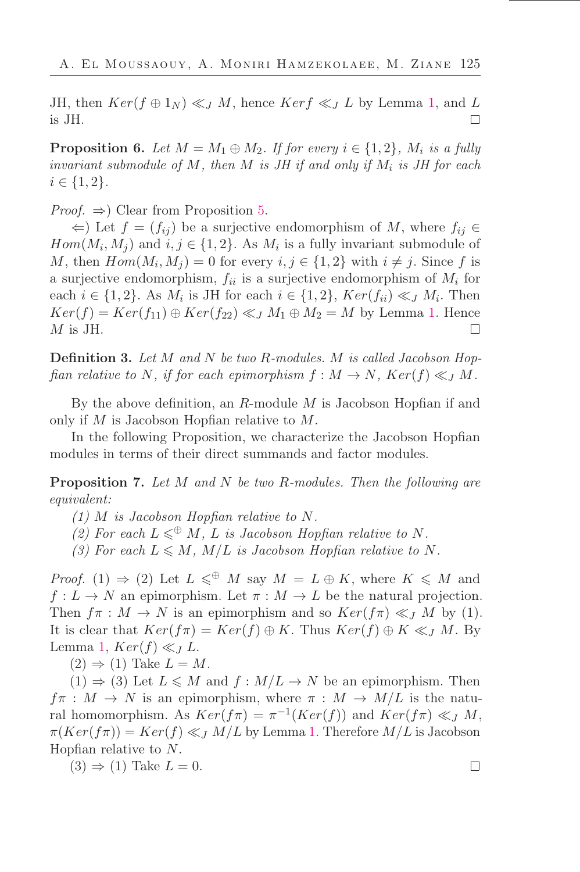JH, then  $Ker(f \oplus 1_N) \ll_J M$ , hence  $Ker f \ll_J L$  by Lemma [1,](#page-2-0) and L  $\Box$ is JH.

**Proposition 6.** Let  $M = M_1 \oplus M_2$ . If for every  $i \in \{1, 2\}$ ,  $M_i$  is a fully *invariant submodule of*  $M$ *, then*  $M$  *is JH if and only if*  $M_i$  *is JH for each*  $i \in \{1, 2\}.$ 

*Proof.*  $\Rightarrow$  Clear from Proposition [5.](#page-8-0)

 $\Leftarrow$ ) Let  $f = (f_{ij})$  be a surjective endomorphism of M, where  $f_{ij}$  ∈  $Hom(M_i, M_j)$  and  $i, j \in \{1, 2\}$ . As  $M_i$  is a fully invariant submodule of M, then  $Hom(M_i, M_j) = 0$  for every  $i, j \in \{1, 2\}$  with  $i \neq j$ . Since f is a surjective endomorphism,  $f_{ii}$  is a surjective endomorphism of  $M_i$  for each  $i \in \{1,2\}$ . As  $M_i$  is JH for each  $i \in \{1,2\}$ ,  $Ker(f_{ii}) \ll J M_i$ . Then  $Ker(f) = Ker(f_{11}) \oplus Ker(f_{22}) \ll J M_1 \oplus M_2 = M$  by Lemma [1.](#page-2-0) Hence  $\Box$ M is JH.

Deőnition 3. *Let* M *and* N *be two* R*-modules.* M *is called Jacobson Hopfian relative to* N, if for each epimorphism  $f : M \to N$ ,  $Ker(f) \ll_J M$ .

By the above definition, an  $R$ -module  $M$  is Jacobson Hopfian if and only if  $M$  is Jacobson Hopfian relative to  $M$ .

In the following Proposition, we characterize the Jacobson Hopfian modules in terms of their direct summands and factor modules.

Proposition 7. *Let* M *and* N *be two* R*-modules. Then the following are equivalent:*

 $(1)$  *M is Jacobson Hopfian relative to N*.

- *(2)* For each  $L \leq \mathcal{D}$  *M*, *L is Jacobson Hopfian relative to N.*
- *(3) For each*  $L \leq M$ *, M/L is Jacobson Hopfian relative to* N.

*Proof.* (1)  $\Rightarrow$  (2) Let  $L \leq \mathbb{P}$  M say  $M = L \oplus K$ , where  $K \leq M$  and  $f: L \to N$  an epimorphism. Let  $\pi: M \to L$  be the natural projection. Then  $f\pi : M \to N$  is an epimorphism and so  $Ker(f\pi) \ll_J M$  by (1). It is clear that  $Ker(f\pi) = Ker(f) \oplus K$ . Thus  $Ker(f) \oplus K \ll_J M$ . By Lemma [1,](#page-2-0)  $Ker(f) \ll_J L$ .

 $(2) \Rightarrow (1)$  Take  $L = M$ .

 $(1) \Rightarrow (3)$  Let  $L \leq M$  and  $f : M/L \to N$  be an epimorphism. Then  $f \pi : M \to N$  is an epimorphism, where  $\pi : M \to M/L$  is the natural homomorphism. As  $Ker(f\pi) = \pi^{-1}(Ker(f))$  and  $Ker(f\pi) \ll_J M$ ,  $\pi(Ker(f\pi)) = Ker(f) \ll_{\mathcal{J}} M/L$  by Lemma [1.](#page-2-0) Therefore  $M/L$  is Jacobson Hopfian relative to  $N$ .

 $(3) \Rightarrow (1)$  Take  $L = 0$ .

 $\Box$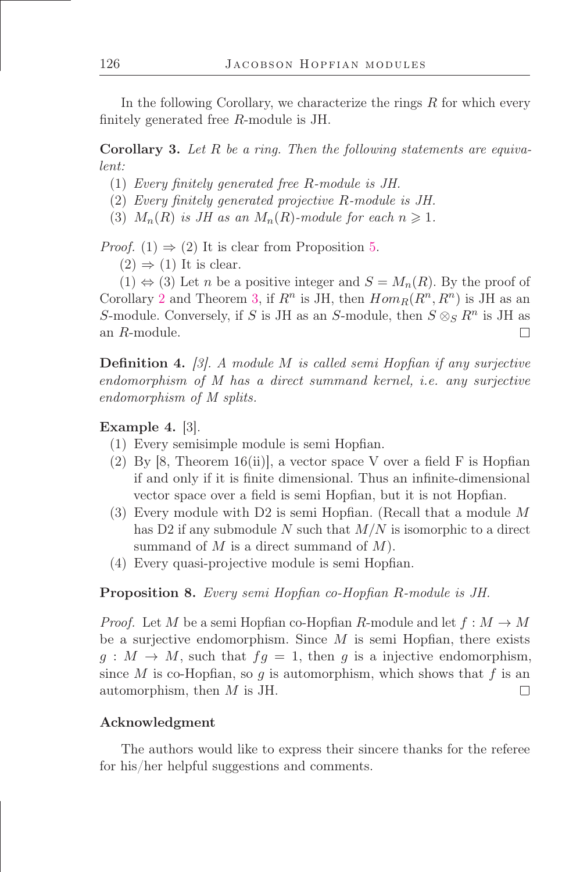In the following Corollary, we characterize the rings  $R$  for which every finitely generated free  $R$ -module is JH.

<span id="page-10-0"></span>Corollary 3. *Let* R *be a ring. Then the following statements are equivalent:*

- (1) *Every őnitely generated free* R*-module is JH.*
- (2) *Every őnitely generated projective* R*-module is JH.*
- (3)  $M_n(R)$  *is JH as an*  $M_n(R)$ *-module for each*  $n \geq 1$ *.*

*Proof.* (1)  $\Rightarrow$  (2) It is clear from Proposition [5.](#page-8-0)

 $(2) \Rightarrow (1)$  It is clear.

 $(1) \Leftrightarrow (3)$  Let *n* be a positive integer and  $S = M_n(R)$ . By the proof of Corollary [2](#page-5-1) and Theorem [3,](#page-5-0) if  $R^n$  is JH, then  $Hom_R(R^n, R^n)$  is JH as an S-module. Conversely, if S is JH as an S-module, then  $S \otimes_S R^n$  is JH as an R-module.  $\Box$ 

**Definition 4.** [3]. A module M is called semi Hopfian if any surjective *endomorphism of M has a direct summand kernel, i.e. any surjective endomorphism of M splits.*

## Example 4. [3].

- (1) Every semisimple module is semi Hopőan.
- (2) By  $[8,$  Theorem 16(ii), a vector space V over a field F is Hopfian if and only if it is őnite dimensional. Thus an inőnite-dimensional vector space over a field is semi Hopfian, but it is not Hopfian.
- (3) Every module with D2 is semi Hopőan. (Recall that a module M has D2 if any submodule N such that  $M/N$  is isomorphic to a direct summand of  $M$  is a direct summand of  $M$ ).
- (4) Every quasi-projective module is semi Hopőan.

#### Proposition 8. *Every semi Hopőan co-Hopőan* R*-module is JH.*

*Proof.* Let M be a semi Hopfian co-Hopfian R-module and let  $f : M \to M$ be a surjective endomorphism. Since  $M$  is semi Hopfian, there exists  $g: M \to M$ , such that  $fg = 1$ , then g is a injective endomorphism, since M is co-Hopfian, so g is automorphism, which shows that f is an automorphism, then M is JH.  $\Box$ 

#### Acknowledgment

The authors would like to express their sincere thanks for the referee for his/her helpful suggestions and comments.